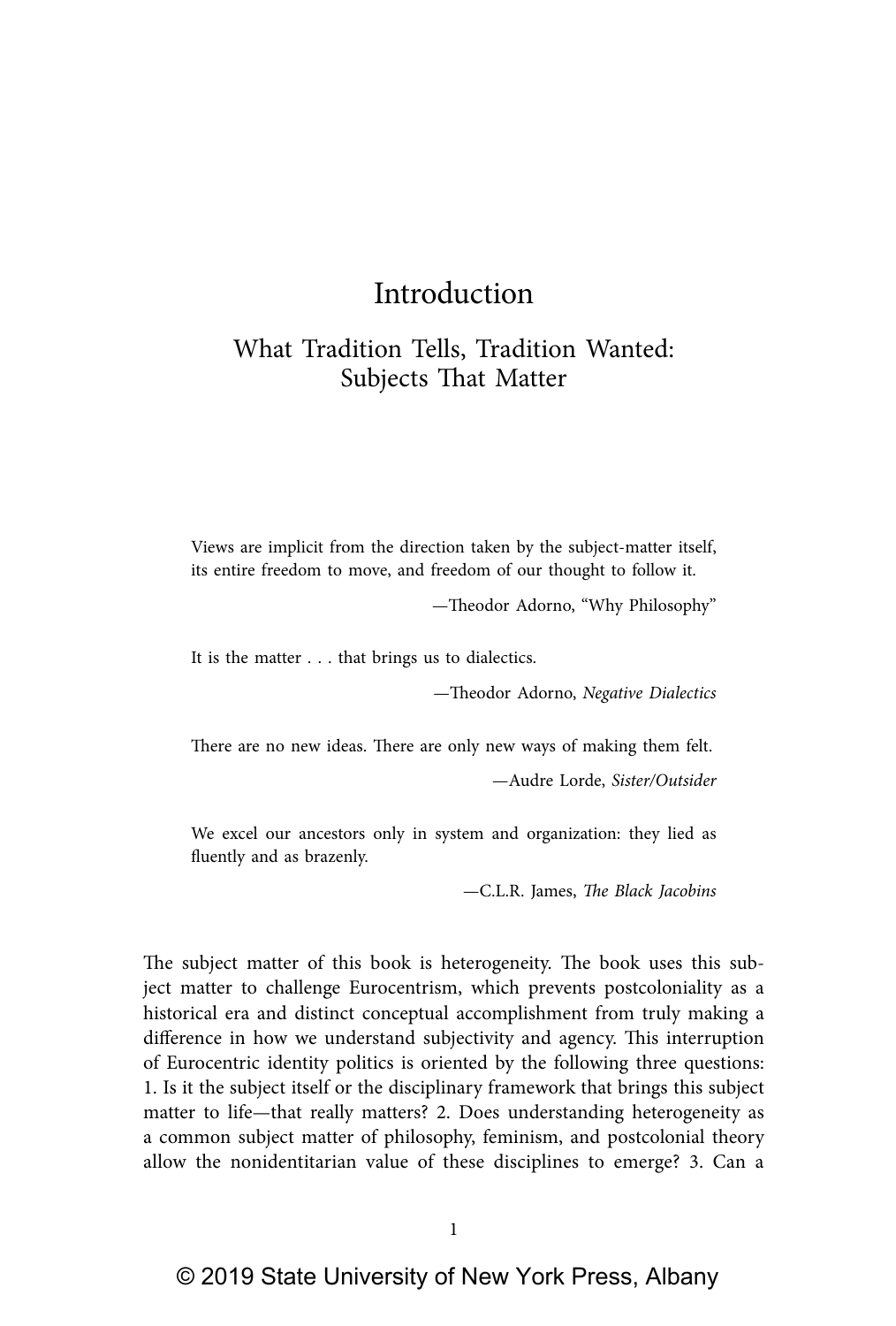# Introduction

## What Tradition Tells, Tradition Wanted: Subjects That Matter

Views are implicit from the direction taken by the subject-matter itself, its entire freedom to move, and freedom of our thought to follow it.

—Theodor Adorno, "Why Philosophy"

It is the matter . . . that brings us to dialectics.

—Theodor Adorno, Negative Dialectics

There are no new ideas. There are only new ways of making them felt.

—Audre Lorde, Sister/Outsider

We excel our ancestors only in system and organization: they lied as fluently and as brazenly.

—C.L.R. James, The Black Jacobins

The subject matter of this book is heterogeneity. The book uses this subject matter to challenge Eurocentrism, which prevents postcoloniality as a historical era and distinct conceptual accomplishment from truly making a difference in how we understand subjectivity and agency. This interruption of Eurocentric identity politics is oriented by the following three questions: 1. Is it the subject itself or the disciplinary framework that brings this subject matter to life—that really matters? 2. Does understanding heterogeneity as a common subject matter of philosophy, feminism, and postcolonial theory allow the nonidentitarian value of these disciplines to emerge? 3. Can a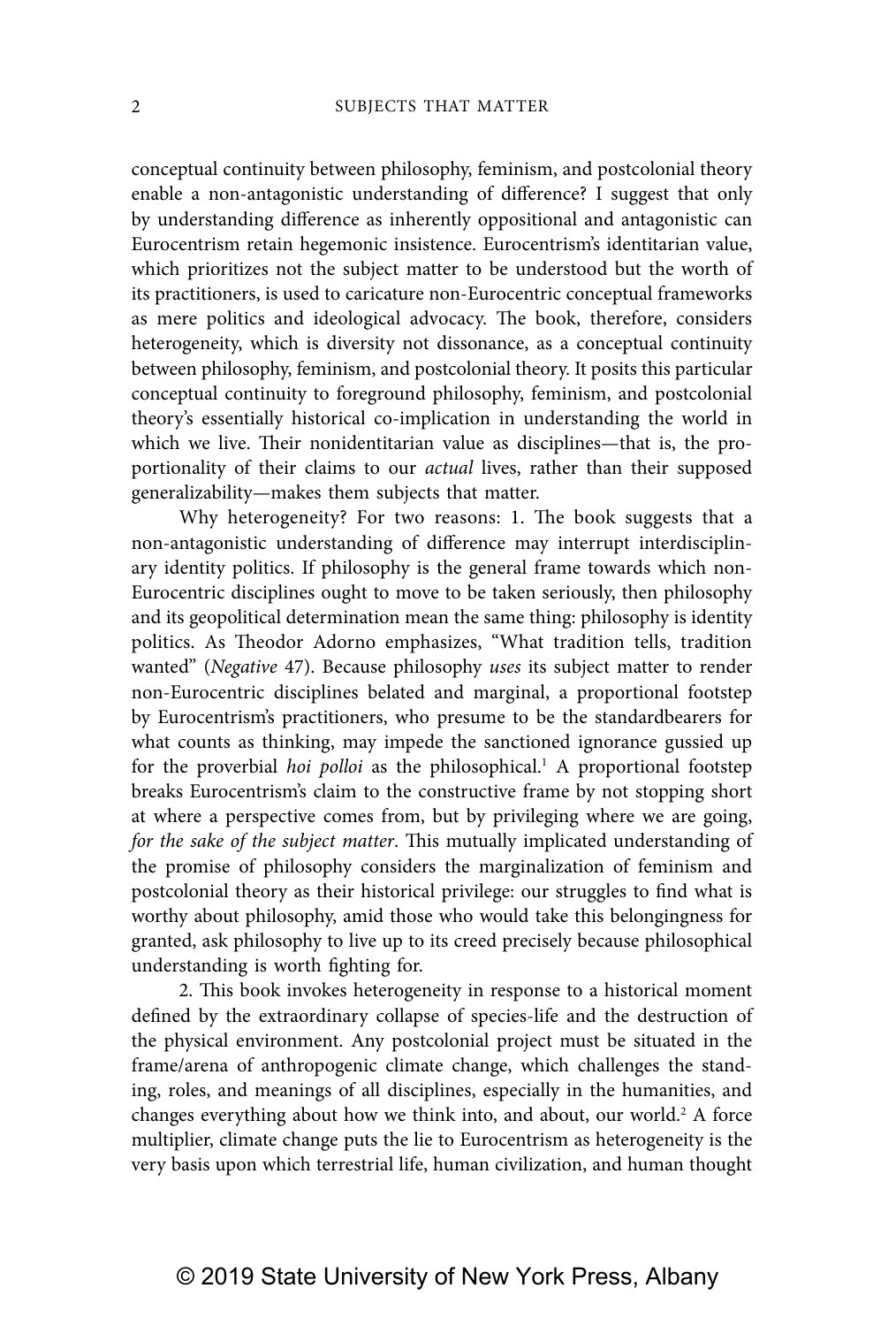conceptual continuity between philosophy, feminism, and postcolonial theory enable a non-antagonistic understanding of difference? I suggest that only by understanding difference as inherently oppositional and antagonistic can Eurocentrism retain hegemonic insistence. Eurocentrism's identitarian value, which prioritizes not the subject matter to be understood but the worth of its practitioners, is used to caricature non-Eurocentric conceptual frameworks as mere politics and ideological advocacy. The book, therefore, considers heterogeneity, which is diversity not dissonance, as a conceptual continuity between philosophy, feminism, and postcolonial theory. It posits this particular conceptual continuity to foreground philosophy, feminism, and postcolonial theory's essentially historical co-implication in understanding the world in which we live. Their nonidentitarian value as disciplines—that is, the proportionality of their claims to our actual lives, rather than their supposed generalizability—makes them subjects that matter.

Why heterogeneity? For two reasons: 1. The book suggests that a non-antagonistic understanding of difference may interrupt interdisciplinary identity politics. If philosophy is the general frame towards which non-Eurocentric disciplines ought to move to be taken seriously, then philosophy and its geopolitical determination mean the same thing: philosophy is identity politics. As Theodor Adorno emphasizes, "What tradition tells, tradition wanted" (Negative 47). Because philosophy uses its subject matter to render non-Eurocentric disciplines belated and marginal, a proportional footstep by Eurocentrism's practitioners, who presume to be the standardbearers for what counts as thinking, may impede the sanctioned ignorance gussied up for the proverbial hoi polloi as the philosophical.<sup>1</sup> A proportional footstep breaks Eurocentrism's claim to the constructive frame by not stopping short at where a perspective comes from, but by privileging where we are going, for the sake of the subject matter. This mutually implicated understanding of the promise of philosophy considers the marginalization of feminism and postcolonial theory as their historical privilege: our struggles to find what is worthy about philosophy, amid those who would take this belongingness for granted, ask philosophy to live up to its creed precisely because philosophical understanding is worth fighting for.

2. This book invokes heterogeneity in response to a historical moment defined by the extraordinary collapse of species-life and the destruction of the physical environment. Any postcolonial project must be situated in the frame/arena of anthropogenic climate change, which challenges the standing, roles, and meanings of all disciplines, especially in the humanities, and changes everything about how we think into, and about, our world.<sup>2</sup> A force multiplier, climate change puts the lie to Eurocentrism as heterogeneity is the very basis upon which terrestrial life, human civilization, and human thought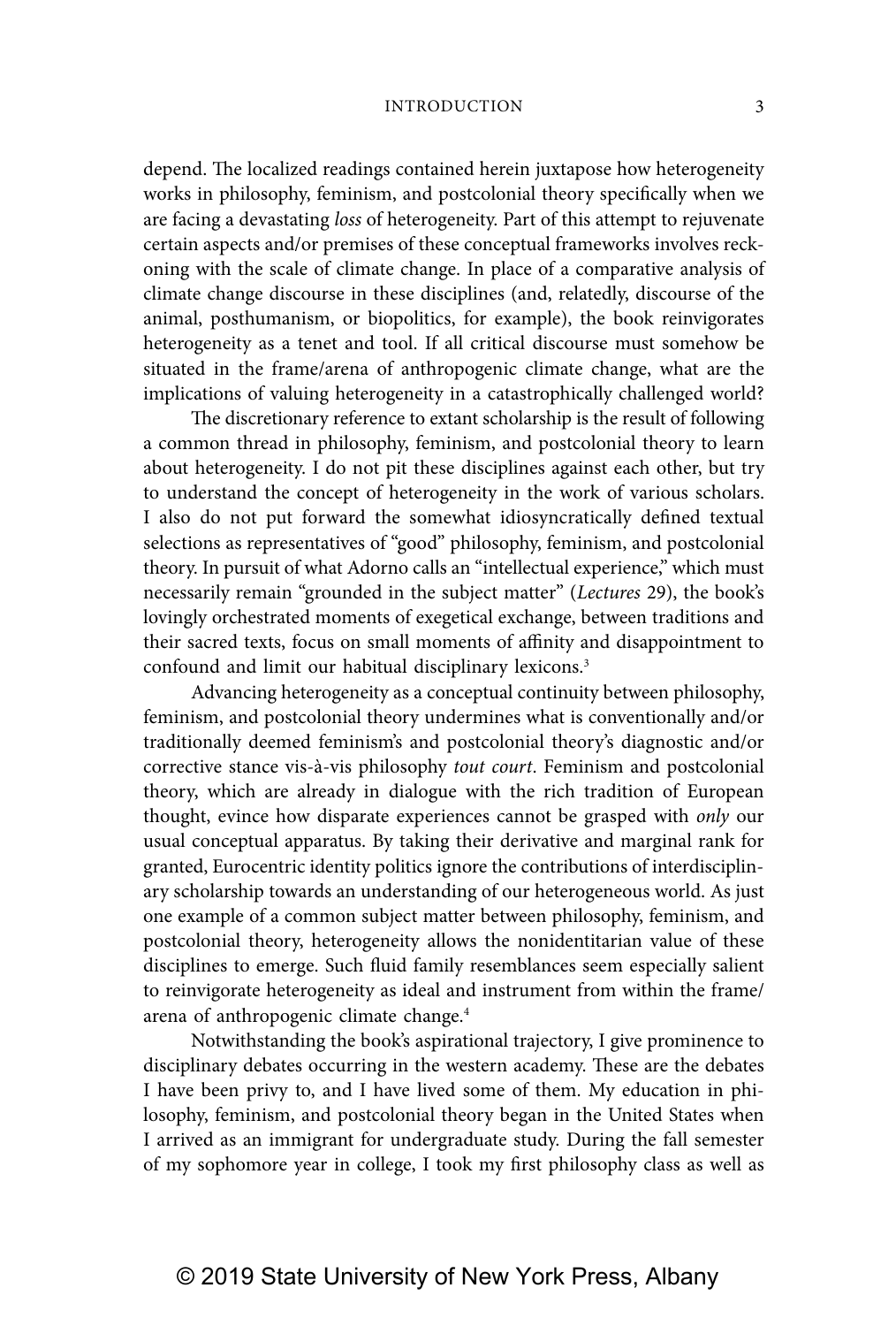depend. The localized readings contained herein juxtapose how heterogeneity works in philosophy, feminism, and postcolonial theory specifically when we are facing a devastating loss of heterogeneity. Part of this attempt to rejuvenate certain aspects and/or premises of these conceptual frameworks involves reckoning with the scale of climate change. In place of a comparative analysis of climate change discourse in these disciplines (and, relatedly, discourse of the animal, posthumanism, or biopolitics, for example), the book reinvigorates heterogeneity as a tenet and tool. If all critical discourse must somehow be situated in the frame/arena of anthropogenic climate change, what are the implications of valuing heterogeneity in a catastrophically challenged world?

The discretionary reference to extant scholarship is the result of following a common thread in philosophy, feminism, and postcolonial theory to learn about heterogeneity. I do not pit these disciplines against each other, but try to understand the concept of heterogeneity in the work of various scholars. I also do not put forward the somewhat idiosyncratically defined textual selections as representatives of "good" philosophy, feminism, and postcolonial theory. In pursuit of what Adorno calls an "intellectual experience," which must necessarily remain "grounded in the subject matter" (Lectures 29), the book's lovingly orchestrated moments of exegetical exchange, between traditions and their sacred texts, focus on small moments of affinity and disappointment to confound and limit our habitual disciplinary lexicons.3

Advancing heterogeneity as a conceptual continuity between philosophy, feminism, and postcolonial theory undermines what is conventionally and/or traditionally deemed feminism's and postcolonial theory's diagnostic and/or corrective stance vis-à-vis philosophy tout court. Feminism and postcolonial theory, which are already in dialogue with the rich tradition of European thought, evince how disparate experiences cannot be grasped with only our usual conceptual apparatus. By taking their derivative and marginal rank for granted, Eurocentric identity politics ignore the contributions of interdisciplinary scholarship towards an understanding of our heterogeneous world. As just one example of a common subject matter between philosophy, feminism, and postcolonial theory, heterogeneity allows the nonidentitarian value of these disciplines to emerge. Such fluid family resemblances seem especially salient to reinvigorate heterogeneity as ideal and instrument from within the frame/ arena of anthropogenic climate change.4

Notwithstanding the book's aspirational trajectory, I give prominence to disciplinary debates occurring in the western academy. These are the debates I have been privy to, and I have lived some of them. My education in philosophy, feminism, and postcolonial theory began in the United States when I arrived as an immigrant for undergraduate study. During the fall semester of my sophomore year in college, I took my first philosophy class as well as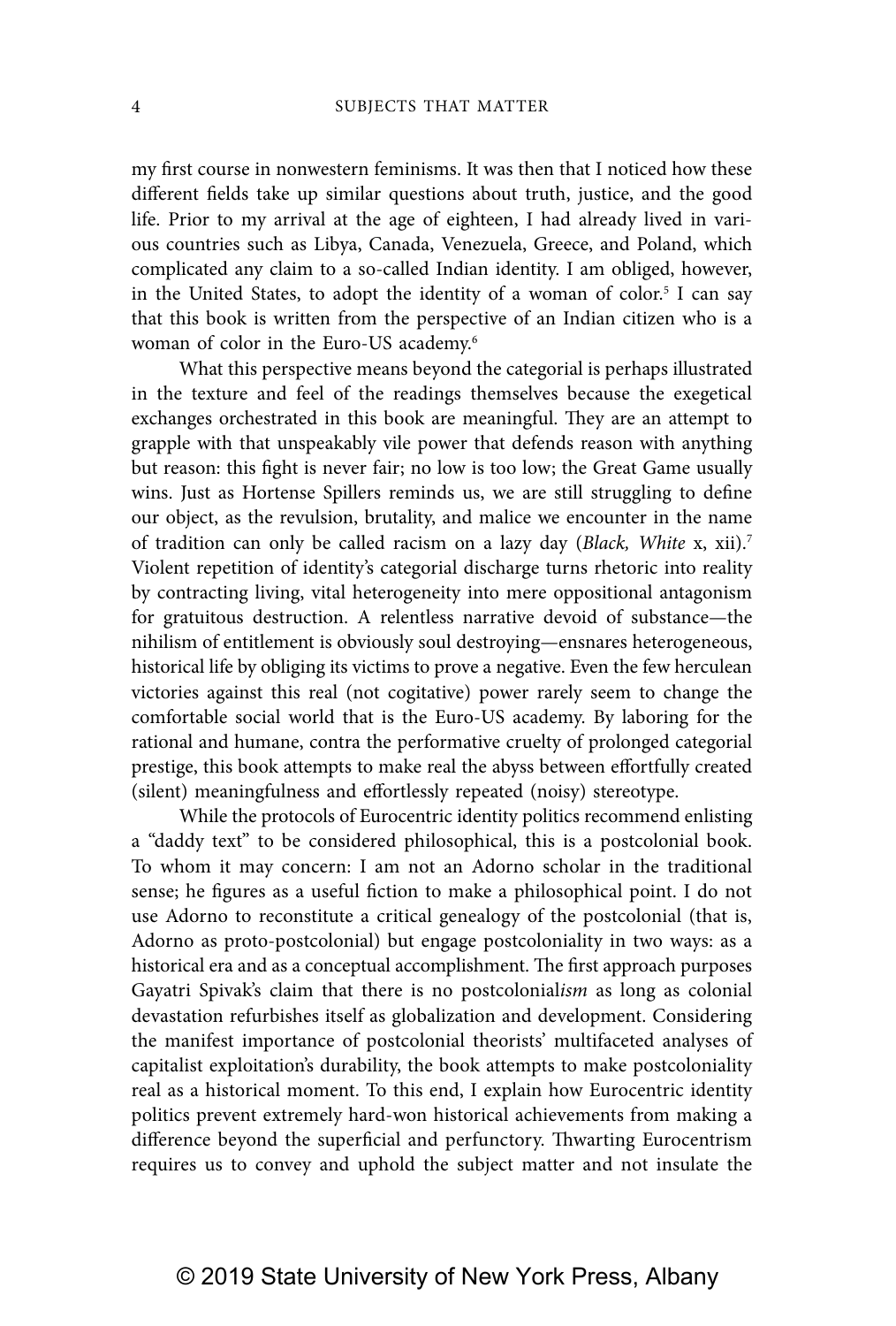my first course in nonwestern feminisms. It was then that I noticed how these different fields take up similar questions about truth, justice, and the good life. Prior to my arrival at the age of eighteen, I had already lived in various countries such as Libya, Canada, Venezuela, Greece, and Poland, which complicated any claim to a so-called Indian identity. I am obliged, however, in the United States, to adopt the identity of a woman of color.<sup>5</sup> I can say that this book is written from the perspective of an Indian citizen who is a woman of color in the Euro-US academy.6

What this perspective means beyond the categorial is perhaps illustrated in the texture and feel of the readings themselves because the exegetical exchanges orchestrated in this book are meaningful. They are an attempt to grapple with that unspeakably vile power that defends reason with anything but reason: this fight is never fair; no low is too low; the Great Game usually wins. Just as Hortense Spillers reminds us, we are still struggling to define our object, as the revulsion, brutality, and malice we encounter in the name of tradition can only be called racism on a lazy day (Black, White x, xii).<sup>7</sup> Violent repetition of identity's categorial discharge turns rhetoric into reality by contracting living, vital heterogeneity into mere oppositional antagonism for gratuitous destruction. A relentless narrative devoid of substance—the nihilism of entitlement is obviously soul destroying—ensnares heterogeneous, historical life by obliging its victims to prove a negative. Even the few herculean victories against this real (not cogitative) power rarely seem to change the comfortable social world that is the Euro-US academy. By laboring for the rational and humane, contra the performative cruelty of prolonged categorial prestige, this book attempts to make real the abyss between effortfully created (silent) meaningfulness and effortlessly repeated (noisy) stereotype.

While the protocols of Eurocentric identity politics recommend enlisting a "daddy text" to be considered philosophical, this is a postcolonial book. To whom it may concern: I am not an Adorno scholar in the traditional sense; he figures as a useful fiction to make a philosophical point. I do not use Adorno to reconstitute a critical genealogy of the postcolonial (that is, Adorno as proto-postcolonial) but engage postcoloniality in two ways: as a historical era and as a conceptual accomplishment. The first approach purposes Gayatri Spivak's claim that there is no postcolonialism as long as colonial devastation refurbishes itself as globalization and development. Considering the manifest importance of postcolonial theorists' multifaceted analyses of capitalist exploitation's durability, the book attempts to make postcoloniality real as a historical moment. To this end, I explain how Eurocentric identity politics prevent extremely hard-won historical achievements from making a difference beyond the superficial and perfunctory. Thwarting Eurocentrism requires us to convey and uphold the subject matter and not insulate the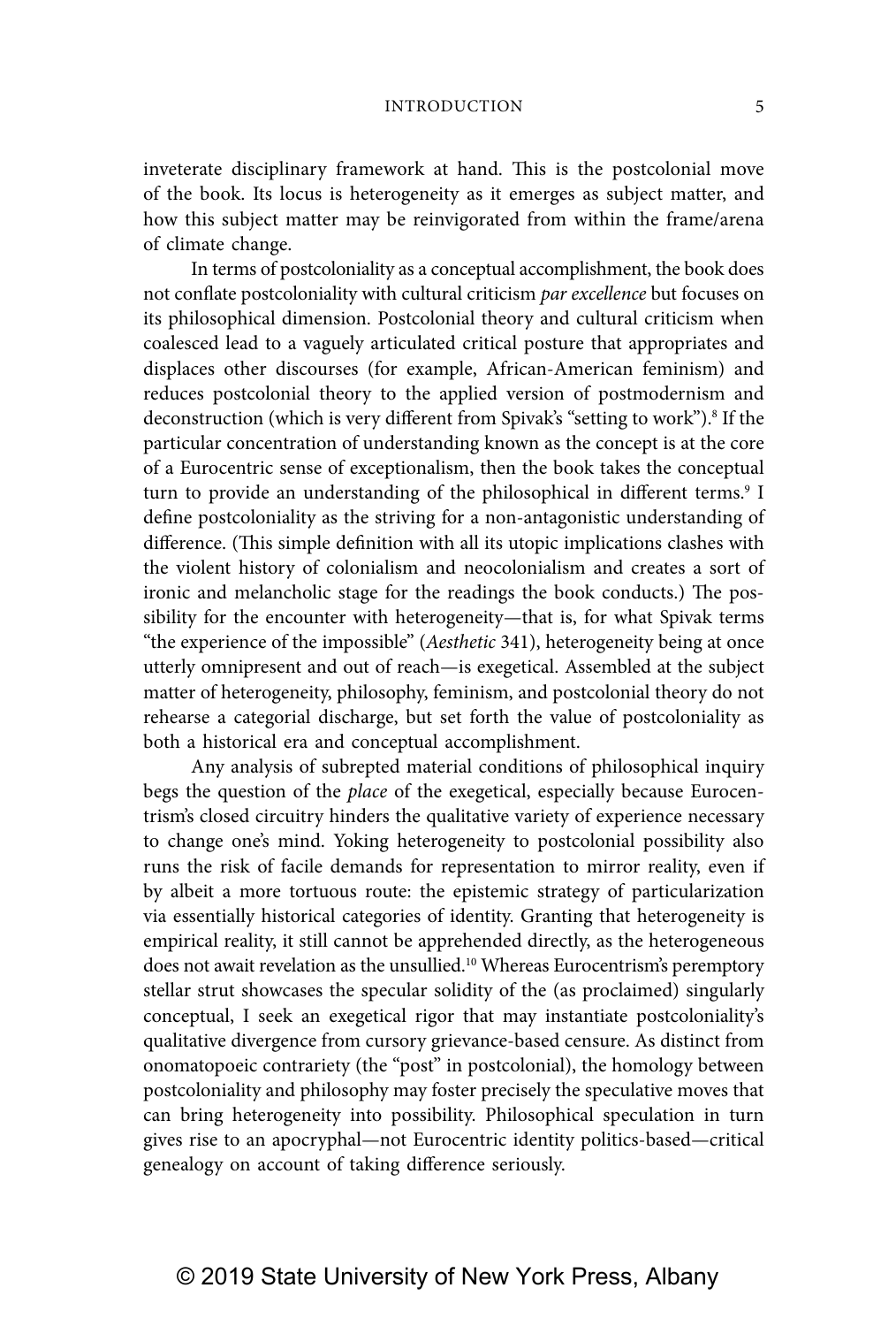inveterate disciplinary framework at hand. This is the postcolonial move of the book. Its locus is heterogeneity as it emerges as subject matter, and how this subject matter may be reinvigorated from within the frame/arena of climate change.

In terms of postcoloniality as a conceptual accomplishment, the book does not conflate postcoloniality with cultural criticism par excellence but focuses on its philosophical dimension. Postcolonial theory and cultural criticism when coalesced lead to a vaguely articulated critical posture that appropriates and displaces other discourses (for example, African-American feminism) and reduces postcolonial theory to the applied version of postmodernism and deconstruction (which is very different from Spivak's "setting to work").<sup>8</sup> If the particular concentration of understanding known as the concept is at the core of a Eurocentric sense of exceptionalism, then the book takes the conceptual turn to provide an understanding of the philosophical in different terms.<sup>9</sup> I define postcoloniality as the striving for a non-antagonistic understanding of difference. (This simple definition with all its utopic implications clashes with the violent history of colonialism and neocolonialism and creates a sort of ironic and melancholic stage for the readings the book conducts.) The possibility for the encounter with heterogeneity—that is, for what Spivak terms "the experience of the impossible" (Aesthetic 341), heterogeneity being at once utterly omnipresent and out of reach—is exegetical. Assembled at the subject matter of heterogeneity, philosophy, feminism, and postcolonial theory do not rehearse a categorial discharge, but set forth the value of postcoloniality as both a historical era and conceptual accomplishment.

Any analysis of subrepted material conditions of philosophical inquiry begs the question of the *place* of the exegetical, especially because Eurocentrism's closed circuitry hinders the qualitative variety of experience necessary to change one's mind. Yoking heterogeneity to postcolonial possibility also runs the risk of facile demands for representation to mirror reality, even if by albeit a more tortuous route: the epistemic strategy of particularization via essentially historical categories of identity. Granting that heterogeneity is empirical reality, it still cannot be apprehended directly, as the heterogeneous does not await revelation as the unsullied.<sup>10</sup> Whereas Eurocentrism's peremptory stellar strut showcases the specular solidity of the (as proclaimed) singularly conceptual, I seek an exegetical rigor that may instantiate postcoloniality's qualitative divergence from cursory grievance-based censure. As distinct from onomatopoeic contrariety (the "post" in postcolonial), the homology between postcoloniality and philosophy may foster precisely the speculative moves that can bring heterogeneity into possibility. Philosophical speculation in turn gives rise to an apocryphal—not Eurocentric identity politics-based—critical genealogy on account of taking difference seriously.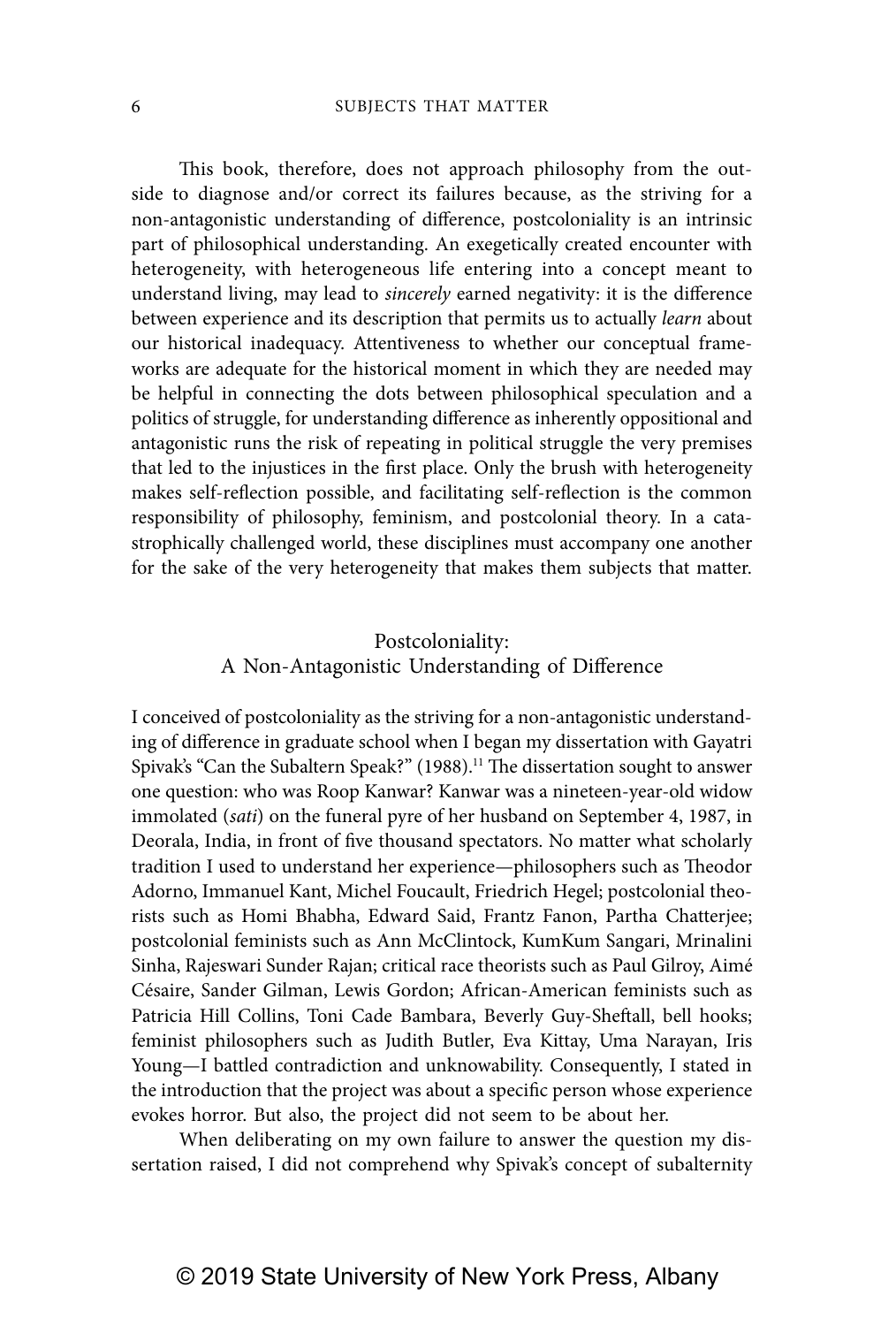This book, therefore, does not approach philosophy from the outside to diagnose and/or correct its failures because, as the striving for a non-antagonistic understanding of difference, postcoloniality is an intrinsic part of philosophical understanding. An exegetically created encounter with heterogeneity, with heterogeneous life entering into a concept meant to understand living, may lead to sincerely earned negativity: it is the difference between experience and its description that permits us to actually *learn* about our historical inadequacy. Attentiveness to whether our conceptual frameworks are adequate for the historical moment in which they are needed may be helpful in connecting the dots between philosophical speculation and a politics of struggle, for understanding difference as inherently oppositional and antagonistic runs the risk of repeating in political struggle the very premises that led to the injustices in the first place. Only the brush with heterogeneity makes self-reflection possible, and facilitating self-reflection is the common responsibility of philosophy, feminism, and postcolonial theory. In a catastrophically challenged world, these disciplines must accompany one another for the sake of the very heterogeneity that makes them subjects that matter.

## Postcoloniality: A Non-Antagonistic Understanding of Difference

I conceived of postcoloniality as the striving for a non-antagonistic understanding of difference in graduate school when I began my dissertation with Gayatri Spivak's "Can the Subaltern Speak?" (1988).<sup>11</sup> The dissertation sought to answer one question: who was Roop Kanwar? Kanwar was a nineteen-year-old widow immolated (sati) on the funeral pyre of her husband on September 4, 1987, in Deorala, India, in front of five thousand spectators. No matter what scholarly tradition I used to understand her experience—philosophers such as Theodor Adorno, Immanuel Kant, Michel Foucault, Friedrich Hegel; postcolonial theorists such as Homi Bhabha, Edward Said, Frantz Fanon, Partha Chatterjee; postcolonial feminists such as Ann McClintock, KumKum Sangari, Mrinalini Sinha, Rajeswari Sunder Rajan; critical race theorists such as Paul Gilroy, Aimé Césaire, Sander Gilman, Lewis Gordon; African-American feminists such as Patricia Hill Collins, Toni Cade Bambara, Beverly Guy-Sheftall, bell hooks; feminist philosophers such as Judith Butler, Eva Kittay, Uma Narayan, Iris Young—I battled contradiction and unknowability. Consequently, I stated in the introduction that the project was about a specific person whose experience evokes horror. But also, the project did not seem to be about her.

When deliberating on my own failure to answer the question my dissertation raised, I did not comprehend why Spivak's concept of subalternity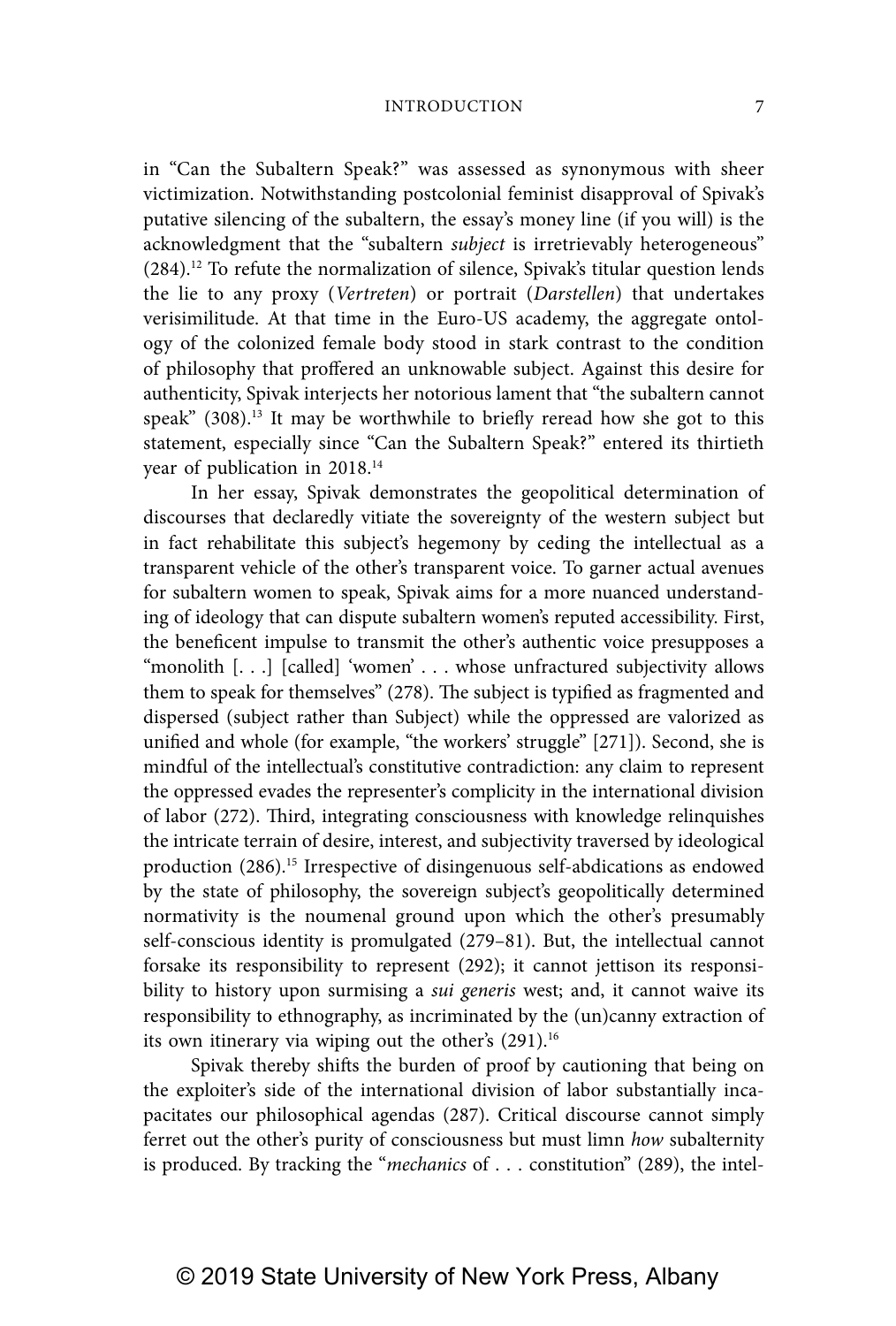in "Can the Subaltern Speak?" was assessed as synonymous with sheer victimization. Notwithstanding postcolonial feminist disapproval of Spivak's putative silencing of the subaltern, the essay's money line (if you will) is the acknowledgment that the "subaltern subject is irretrievably heterogeneous" (284).12 To refute the normalization of silence, Spivak's titular question lends the lie to any proxy (Vertreten) or portrait (Darstellen) that undertakes verisimilitude. At that time in the Euro-US academy, the aggregate ontology of the colonized female body stood in stark contrast to the condition of philosophy that proffered an unknowable subject. Against this desire for authenticity, Spivak interjects her notorious lament that "the subaltern cannot speak"  $(308)^{13}$  It may be worthwhile to briefly reread how she got to this statement, especially since "Can the Subaltern Speak?" entered its thirtieth year of publication in 2018.14

In her essay, Spivak demonstrates the geopolitical determination of discourses that declaredly vitiate the sovereignty of the western subject but in fact rehabilitate this subject's hegemony by ceding the intellectual as a transparent vehicle of the other's transparent voice. To garner actual avenues for subaltern women to speak, Spivak aims for a more nuanced understanding of ideology that can dispute subaltern women's reputed accessibility. First, the beneficent impulse to transmit the other's authentic voice presupposes a "monolith [. . .] [called] 'women' . . . whose unfractured subjectivity allows them to speak for themselves" (278). The subject is typified as fragmented and dispersed (subject rather than Subject) while the oppressed are valorized as unified and whole (for example, "the workers' struggle" [271]). Second, she is mindful of the intellectual's constitutive contradiction: any claim to represent the oppressed evades the representer's complicity in the international division of labor (272). Third, integrating consciousness with knowledge relinquishes the intricate terrain of desire, interest, and subjectivity traversed by ideological production (286).15 Irrespective of disingenuous self-abdications as endowed by the state of philosophy, the sovereign subject's geopolitically determined normativity is the noumenal ground upon which the other's presumably self-conscious identity is promulgated (279–81). But, the intellectual cannot forsake its responsibility to represent (292); it cannot jettison its responsibility to history upon surmising a *sui generis* west; and, it cannot waive its responsibility to ethnography, as incriminated by the (un)canny extraction of its own itinerary via wiping out the other's (291).<sup>16</sup>

Spivak thereby shifts the burden of proof by cautioning that being on the exploiter's side of the international division of labor substantially incapacitates our philosophical agendas (287). Critical discourse cannot simply ferret out the other's purity of consciousness but must limn how subalternity is produced. By tracking the "mechanics of . . . constitution" (289), the intel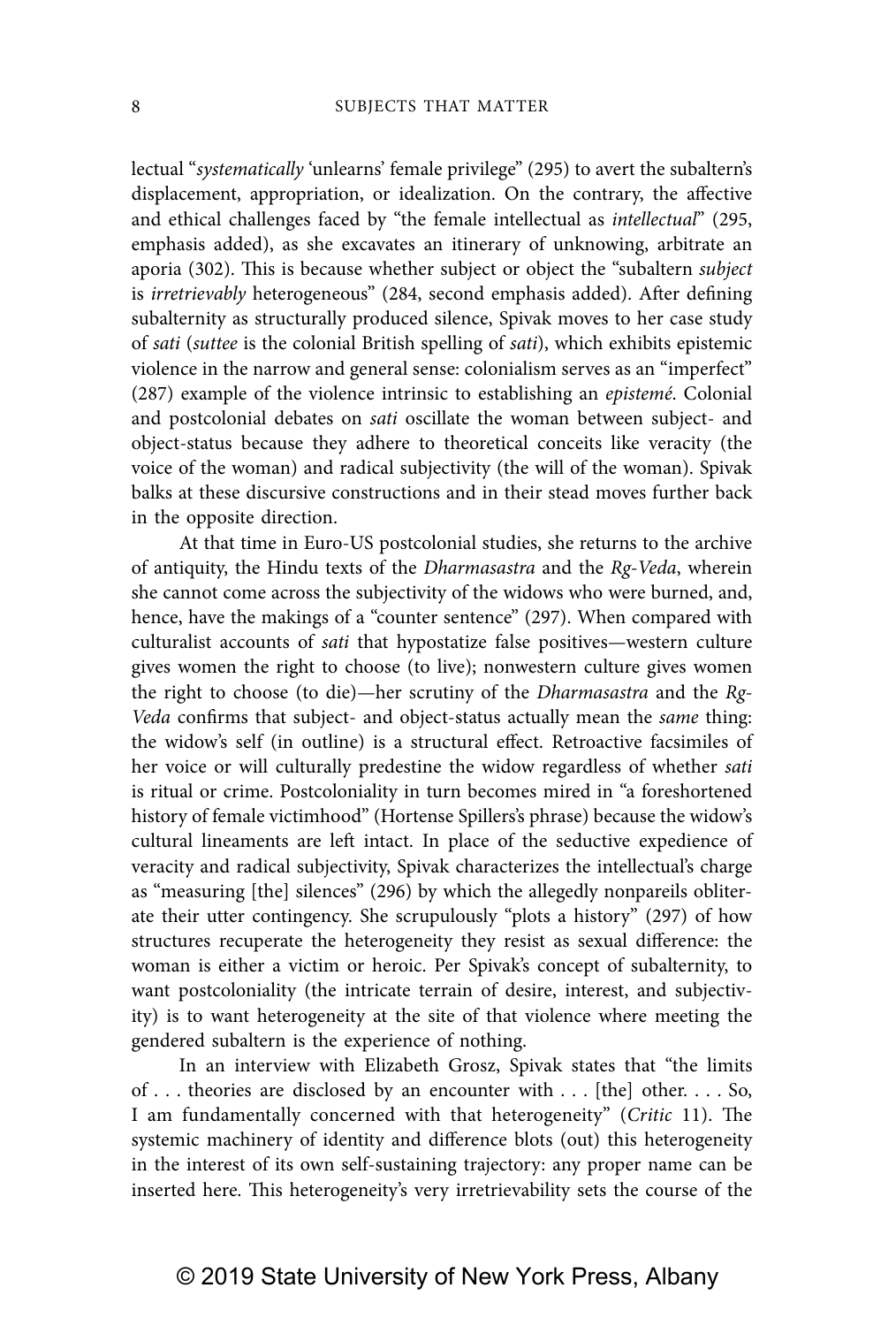lectual "systematically 'unlearns' female privilege" (295) to avert the subaltern's displacement, appropriation, or idealization. On the contrary, the affective and ethical challenges faced by "the female intellectual as *intellectual*" (295, emphasis added), as she excavates an itinerary of unknowing, arbitrate an aporia (302). This is because whether subject or object the "subaltern subject is irretrievably heterogeneous" (284, second emphasis added). After defining subalternity as structurally produced silence, Spivak moves to her case study of sati (suttee is the colonial British spelling of sati), which exhibits epistemic violence in the narrow and general sense: colonialism serves as an "imperfect" (287) example of the violence intrinsic to establishing an epistemé. Colonial and postcolonial debates on sati oscillate the woman between subject- and object-status because they adhere to theoretical conceits like veracity (the voice of the woman) and radical subjectivity (the will of the woman). Spivak balks at these discursive constructions and in their stead moves further back in the opposite direction.

At that time in Euro-US postcolonial studies, she returns to the archive of antiquity, the Hindu texts of the *Dharmasastra* and the Rg-Veda, wherein she cannot come across the subjectivity of the widows who were burned, and, hence, have the makings of a "counter sentence" (297). When compared with culturalist accounts of sati that hypostatize false positives—western culture gives women the right to choose (to live); nonwestern culture gives women the right to choose (to die)—her scrutiny of the Dharmasastra and the Rg-Veda confirms that subject- and object-status actually mean the same thing: the widow's self (in outline) is a structural effect. Retroactive facsimiles of her voice or will culturally predestine the widow regardless of whether sati is ritual or crime. Postcoloniality in turn becomes mired in "a foreshortened history of female victimhood" (Hortense Spillers's phrase) because the widow's cultural lineaments are left intact. In place of the seductive expedience of veracity and radical subjectivity, Spivak characterizes the intellectual's charge as "measuring [the] silences" (296) by which the allegedly nonpareils obliterate their utter contingency. She scrupulously "plots a history" (297) of how structures recuperate the heterogeneity they resist as sexual difference: the woman is either a victim or heroic. Per Spivak's concept of subalternity, to want postcoloniality (the intricate terrain of desire, interest, and subjectivity) is to want heterogeneity at the site of that violence where meeting the gendered subaltern is the experience of nothing.

In an interview with Elizabeth Grosz, Spivak states that "the limits of . . . theories are disclosed by an encounter with . . . [the] other. . . . So, I am fundamentally concerned with that heterogeneity" (Critic 11). The systemic machinery of identity and difference blots (out) this heterogeneity in the interest of its own self-sustaining trajectory: any proper name can be inserted here. This heterogeneity's very irretrievability sets the course of the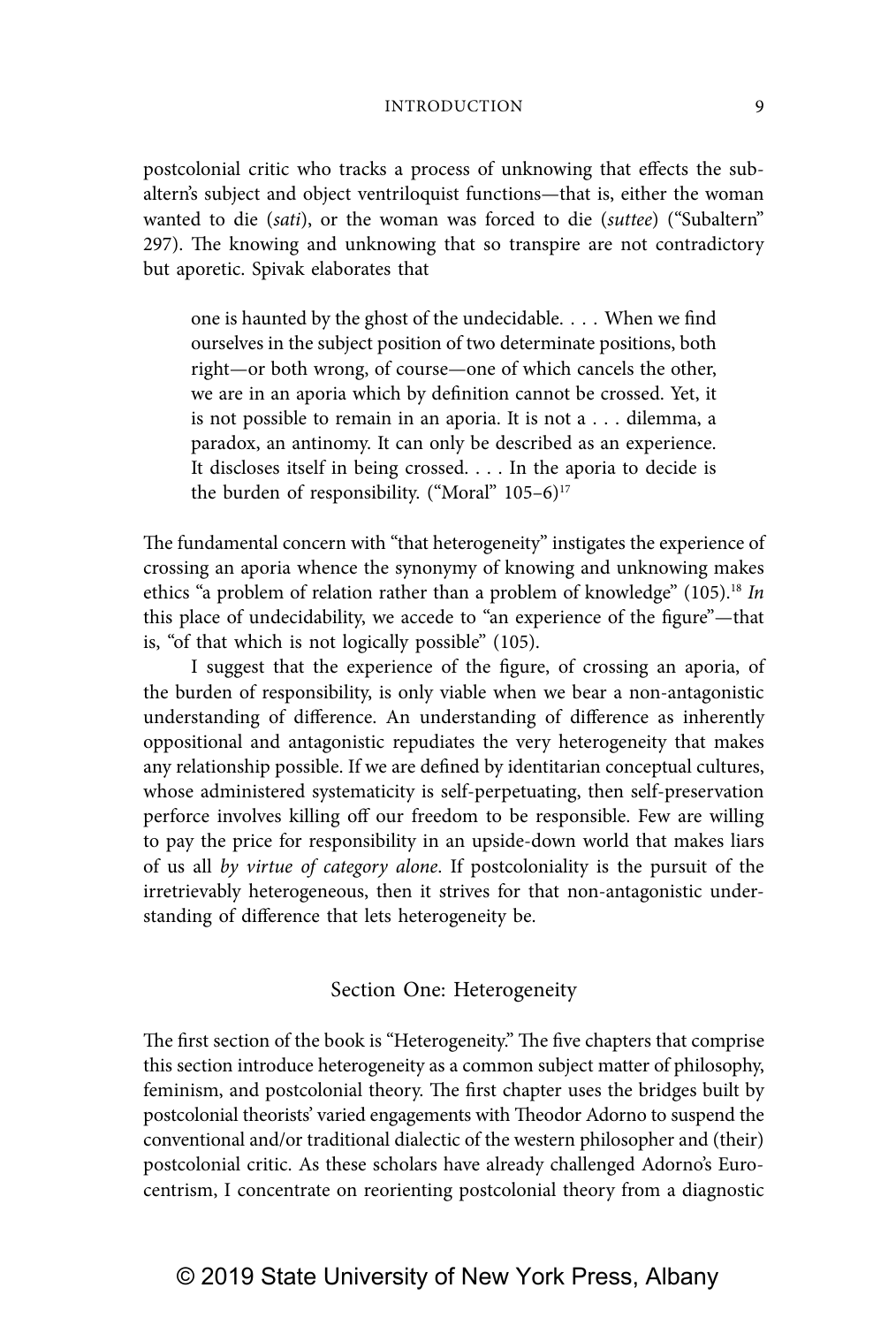postcolonial critic who tracks a process of unknowing that effects the subaltern's subject and object ventriloquist functions—that is, either the woman wanted to die (sati), or the woman was forced to die (suttee) ("Subaltern" 297). The knowing and unknowing that so transpire are not contradictory but aporetic. Spivak elaborates that

one is haunted by the ghost of the undecidable. . . . When we find ourselves in the subject position of two determinate positions, both right—or both wrong, of course—one of which cancels the other, we are in an aporia which by definition cannot be crossed. Yet, it is not possible to remain in an aporia. It is not a . . . dilemma, a paradox, an antinomy. It can only be described as an experience. It discloses itself in being crossed. . . . In the aporia to decide is the burden of responsibility. ("Moral"  $105-6$ )<sup>17</sup>

The fundamental concern with "that heterogeneity" instigates the experience of crossing an aporia whence the synonymy of knowing and unknowing makes ethics "a problem of relation rather than a problem of knowledge" (105).<sup>18</sup> In this place of undecidability, we accede to "an experience of the figure"—that is, "of that which is not logically possible" (105).

I suggest that the experience of the figure, of crossing an aporia, of the burden of responsibility, is only viable when we bear a non-antagonistic understanding of difference. An understanding of difference as inherently oppositional and antagonistic repudiates the very heterogeneity that makes any relationship possible. If we are defined by identitarian conceptual cultures, whose administered systematicity is self-perpetuating, then self-preservation perforce involves killing off our freedom to be responsible. Few are willing to pay the price for responsibility in an upside-down world that makes liars of us all by virtue of category alone. If postcoloniality is the pursuit of the irretrievably heterogeneous, then it strives for that non-antagonistic understanding of difference that lets heterogeneity be.

## Section One: Heterogeneity

The first section of the book is "Heterogeneity." The five chapters that comprise this section introduce heterogeneity as a common subject matter of philosophy, feminism, and postcolonial theory. The first chapter uses the bridges built by postcolonial theorists' varied engagements with Theodor Adorno to suspend the conventional and/or traditional dialectic of the western philosopher and (their) postcolonial critic. As these scholars have already challenged Adorno's Eurocentrism, I concentrate on reorienting postcolonial theory from a diagnostic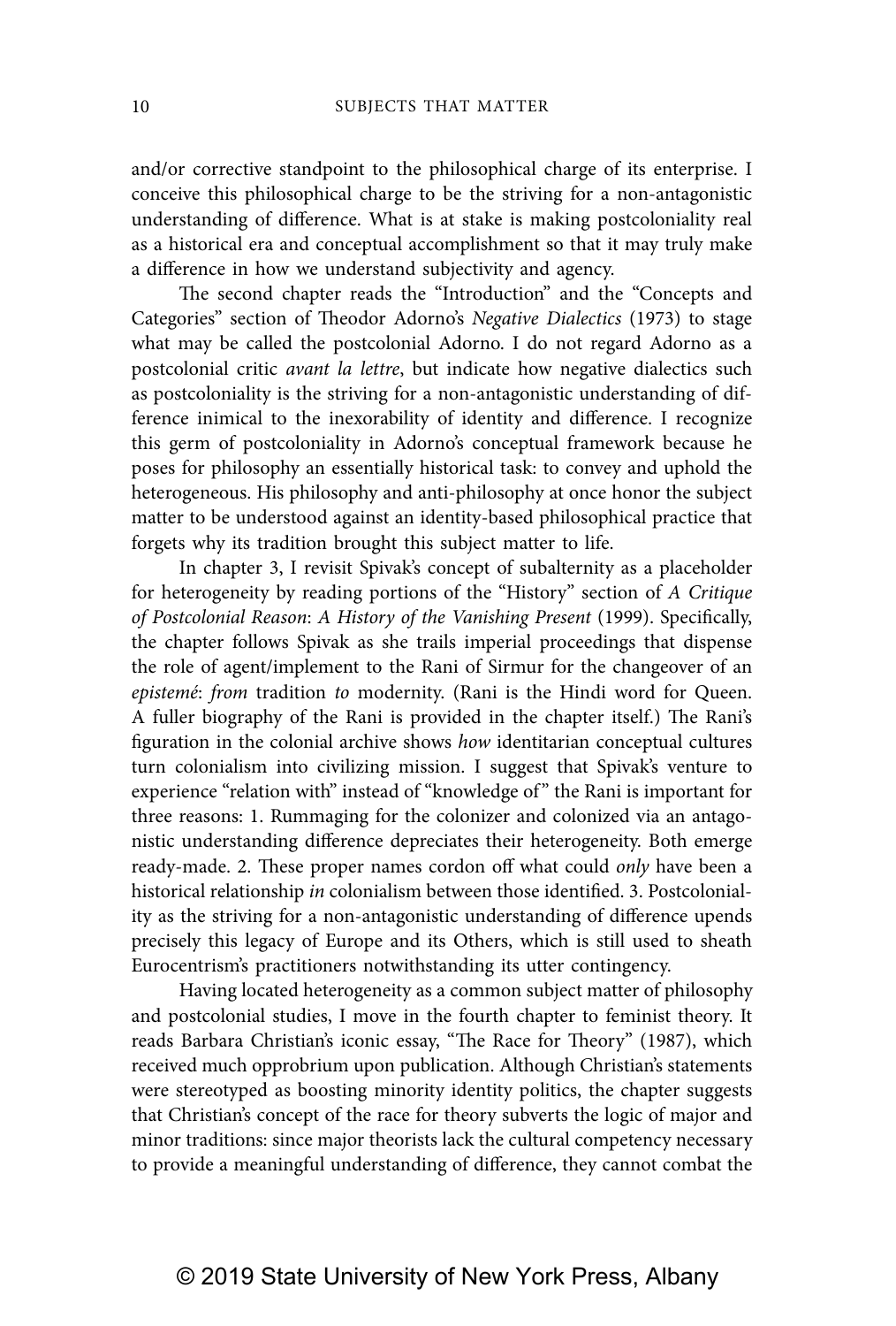and/or corrective standpoint to the philosophical charge of its enterprise. I conceive this philosophical charge to be the striving for a non-antagonistic understanding of difference. What is at stake is making postcoloniality real as a historical era and conceptual accomplishment so that it may truly make a difference in how we understand subjectivity and agency.

The second chapter reads the "Introduction" and the "Concepts and Categories" section of Theodor Adorno's Negative Dialectics (1973) to stage what may be called the postcolonial Adorno. I do not regard Adorno as a postcolonial critic avant la lettre, but indicate how negative dialectics such as postcoloniality is the striving for a non-antagonistic understanding of difference inimical to the inexorability of identity and difference. I recognize this germ of postcoloniality in Adorno's conceptual framework because he poses for philosophy an essentially historical task: to convey and uphold the heterogeneous. His philosophy and anti-philosophy at once honor the subject matter to be understood against an identity-based philosophical practice that forgets why its tradition brought this subject matter to life.

In chapter 3, I revisit Spivak's concept of subalternity as a placeholder for heterogeneity by reading portions of the "History" section of A Critique of Postcolonial Reason: A History of the Vanishing Present (1999). Specifically, the chapter follows Spivak as she trails imperial proceedings that dispense the role of agent/implement to the Rani of Sirmur for the changeover of an epistemé: from tradition to modernity. (Rani is the Hindi word for Queen. A fuller biography of the Rani is provided in the chapter itself.) The Rani's figuration in the colonial archive shows how identitarian conceptual cultures turn colonialism into civilizing mission. I suggest that Spivak's venture to experience "relation with" instead of "knowledge of " the Rani is important for three reasons: 1. Rummaging for the colonizer and colonized via an antagonistic understanding difference depreciates their heterogeneity. Both emerge ready-made. 2. These proper names cordon off what could only have been a historical relationship in colonialism between those identified. 3. Postcoloniality as the striving for a non-antagonistic understanding of difference upends precisely this legacy of Europe and its Others, which is still used to sheath Eurocentrism's practitioners notwithstanding its utter contingency.

Having located heterogeneity as a common subject matter of philosophy and postcolonial studies, I move in the fourth chapter to feminist theory. It reads Barbara Christian's iconic essay, "The Race for Theory" (1987), which received much opprobrium upon publication. Although Christian's statements were stereotyped as boosting minority identity politics, the chapter suggests that Christian's concept of the race for theory subverts the logic of major and minor traditions: since major theorists lack the cultural competency necessary to provide a meaningful understanding of difference, they cannot combat the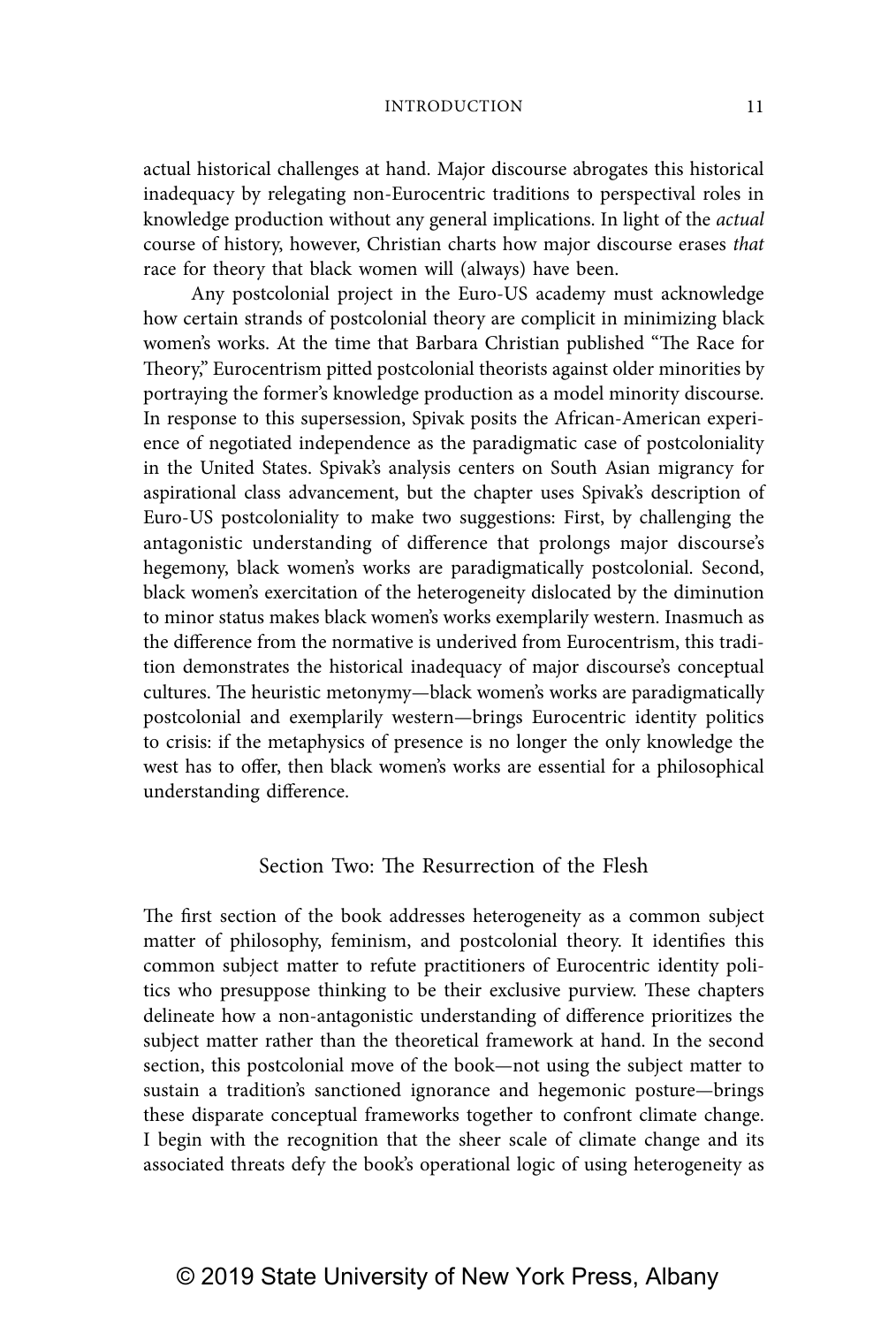actual historical challenges at hand. Major discourse abrogates this historical inadequacy by relegating non-Eurocentric traditions to perspectival roles in knowledge production without any general implications. In light of the actual course of history, however, Christian charts how major discourse erases that race for theory that black women will (always) have been.

Any postcolonial project in the Euro-US academy must acknowledge how certain strands of postcolonial theory are complicit in minimizing black women's works. At the time that Barbara Christian published "The Race for Theory," Eurocentrism pitted postcolonial theorists against older minorities by portraying the former's knowledge production as a model minority discourse. In response to this supersession, Spivak posits the African-American experience of negotiated independence as the paradigmatic case of postcoloniality in the United States. Spivak's analysis centers on South Asian migrancy for aspirational class advancement, but the chapter uses Spivak's description of Euro-US postcoloniality to make two suggestions: First, by challenging the antagonistic understanding of difference that prolongs major discourse's hegemony, black women's works are paradigmatically postcolonial. Second, black women's exercitation of the heterogeneity dislocated by the diminution to minor status makes black women's works exemplarily western. Inasmuch as the difference from the normative is underived from Eurocentrism, this tradition demonstrates the historical inadequacy of major discourse's conceptual cultures. The heuristic metonymy—black women's works are paradigmatically postcolonial and exemplarily western—brings Eurocentric identity politics to crisis: if the metaphysics of presence is no longer the only knowledge the west has to offer, then black women's works are essential for a philosophical understanding difference.

## Section Two: The Resurrection of the Flesh

The first section of the book addresses heterogeneity as a common subject matter of philosophy, feminism, and postcolonial theory. It identifies this common subject matter to refute practitioners of Eurocentric identity politics who presuppose thinking to be their exclusive purview. These chapters delineate how a non-antagonistic understanding of difference prioritizes the subject matter rather than the theoretical framework at hand. In the second section, this postcolonial move of the book—not using the subject matter to sustain a tradition's sanctioned ignorance and hegemonic posture—brings these disparate conceptual frameworks together to confront climate change. I begin with the recognition that the sheer scale of climate change and its associated threats defy the book's operational logic of using heterogeneity as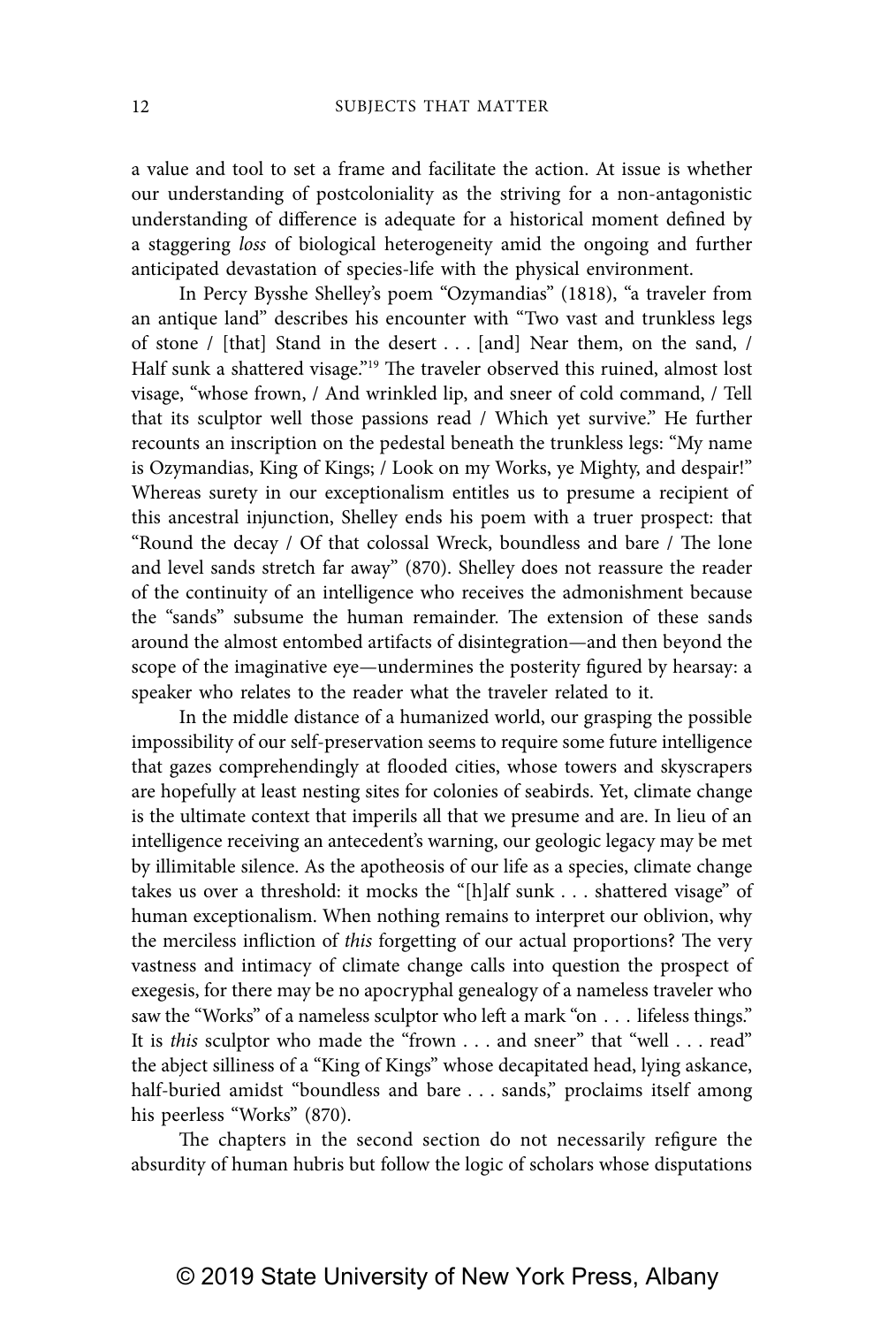a value and tool to set a frame and facilitate the action. At issue is whether our understanding of postcoloniality as the striving for a non-antagonistic understanding of difference is adequate for a historical moment defined by a staggering loss of biological heterogeneity amid the ongoing and further anticipated devastation of species-life with the physical environment.

In Percy Bysshe Shelley's poem "Ozymandias" (1818), "a traveler from an antique land" describes his encounter with "Two vast and trunkless legs of stone / [that] Stand in the desert . . . [and] Near them, on the sand, / Half sunk a shattered visage."<sup>19</sup> The traveler observed this ruined, almost lost visage, "whose frown, / And wrinkled lip, and sneer of cold command, / Tell that its sculptor well those passions read / Which yet survive." He further recounts an inscription on the pedestal beneath the trunkless legs: "My name is Ozymandias, King of Kings; / Look on my Works, ye Mighty, and despair!" Whereas surety in our exceptionalism entitles us to presume a recipient of this ancestral injunction, Shelley ends his poem with a truer prospect: that "Round the decay / Of that colossal Wreck, boundless and bare / The lone and level sands stretch far away" (870). Shelley does not reassure the reader of the continuity of an intelligence who receives the admonishment because the "sands" subsume the human remainder. The extension of these sands around the almost entombed artifacts of disintegration—and then beyond the scope of the imaginative eye—undermines the posterity figured by hearsay: a speaker who relates to the reader what the traveler related to it.

In the middle distance of a humanized world, our grasping the possible impossibility of our self-preservation seems to require some future intelligence that gazes comprehendingly at flooded cities, whose towers and skyscrapers are hopefully at least nesting sites for colonies of seabirds. Yet, climate change is the ultimate context that imperils all that we presume and are. In lieu of an intelligence receiving an antecedent's warning, our geologic legacy may be met by illimitable silence. As the apotheosis of our life as a species, climate change takes us over a threshold: it mocks the "[h]alf sunk . . . shattered visage" of human exceptionalism. When nothing remains to interpret our oblivion, why the merciless infliction of this forgetting of our actual proportions? The very vastness and intimacy of climate change calls into question the prospect of exegesis, for there may be no apocryphal genealogy of a nameless traveler who saw the "Works" of a nameless sculptor who left a mark "on . . . lifeless things." It is this sculptor who made the "frown . . . and sneer" that "well . . . read" the abject silliness of a "King of Kings" whose decapitated head, lying askance, half-buried amidst "boundless and bare . . . sands," proclaims itself among his peerless "Works" (870).

The chapters in the second section do not necessarily refigure the absurdity of human hubris but follow the logic of scholars whose disputations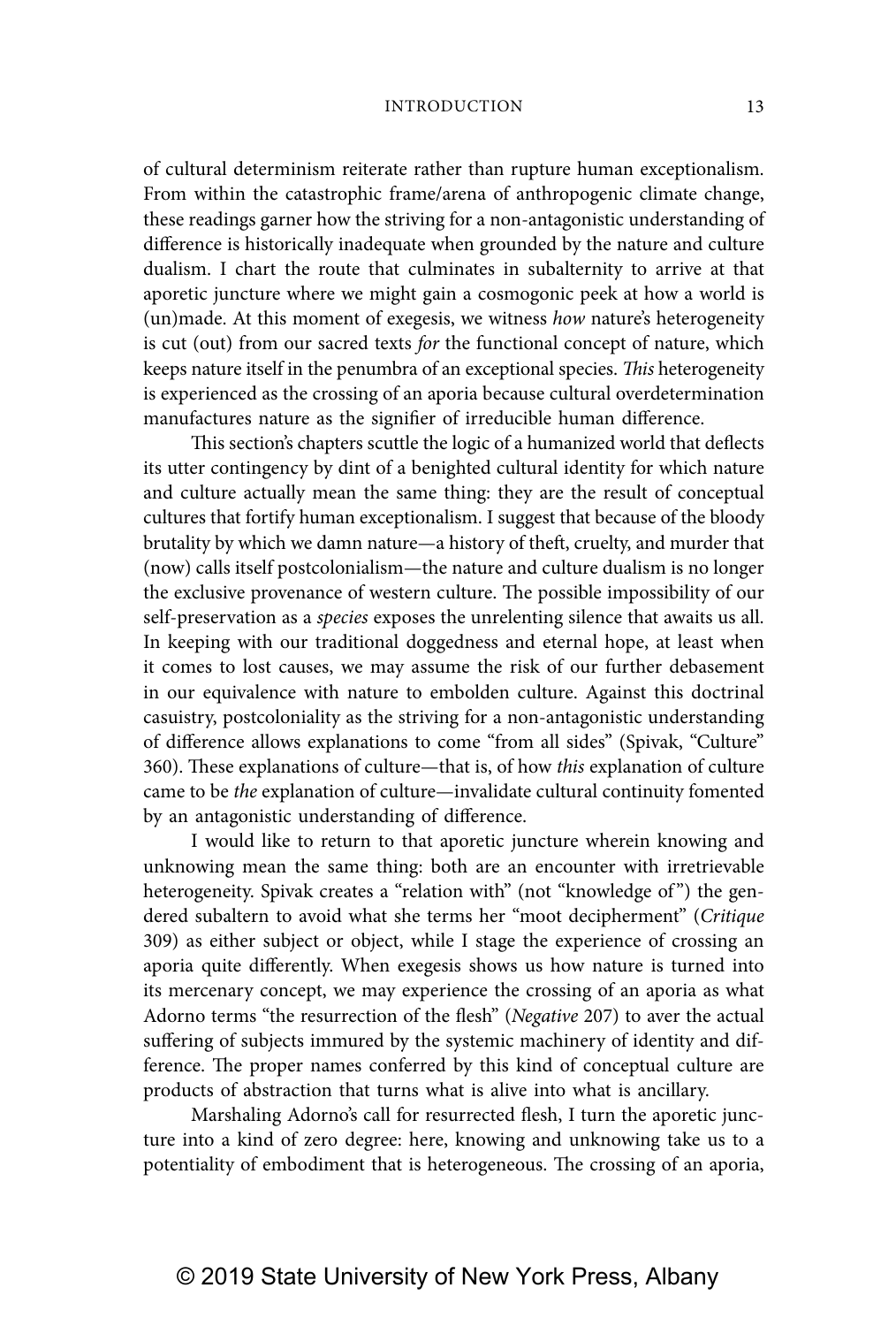of cultural determinism reiterate rather than rupture human exceptionalism. From within the catastrophic frame/arena of anthropogenic climate change, these readings garner how the striving for a non-antagonistic understanding of difference is historically inadequate when grounded by the nature and culture dualism. I chart the route that culminates in subalternity to arrive at that aporetic juncture where we might gain a cosmogonic peek at how a world is (un)made. At this moment of exegesis, we witness how nature's heterogeneity is cut (out) from our sacred texts for the functional concept of nature, which keeps nature itself in the penumbra of an exceptional species. This heterogeneity is experienced as the crossing of an aporia because cultural overdetermination manufactures nature as the signifier of irreducible human difference.

This section's chapters scuttle the logic of a humanized world that deflects its utter contingency by dint of a benighted cultural identity for which nature and culture actually mean the same thing: they are the result of conceptual cultures that fortify human exceptionalism. I suggest that because of the bloody brutality by which we damn nature—a history of theft, cruelty, and murder that (now) calls itself postcolonialism—the nature and culture dualism is no longer the exclusive provenance of western culture. The possible impossibility of our self-preservation as a species exposes the unrelenting silence that awaits us all. In keeping with our traditional doggedness and eternal hope, at least when it comes to lost causes, we may assume the risk of our further debasement in our equivalence with nature to embolden culture. Against this doctrinal casuistry, postcoloniality as the striving for a non-antagonistic understanding of difference allows explanations to come "from all sides" (Spivak, "Culture" 360). These explanations of culture—that is, of how this explanation of culture came to be the explanation of culture—invalidate cultural continuity fomented by an antagonistic understanding of difference.

I would like to return to that aporetic juncture wherein knowing and unknowing mean the same thing: both are an encounter with irretrievable heterogeneity. Spivak creates a "relation with" (not "knowledge of") the gendered subaltern to avoid what she terms her "moot decipherment" (Critique 309) as either subject or object, while I stage the experience of crossing an aporia quite differently. When exegesis shows us how nature is turned into its mercenary concept, we may experience the crossing of an aporia as what Adorno terms "the resurrection of the flesh" (Negative 207) to aver the actual suffering of subjects immured by the systemic machinery of identity and difference. The proper names conferred by this kind of conceptual culture are products of abstraction that turns what is alive into what is ancillary.

Marshaling Adorno's call for resurrected flesh, I turn the aporetic juncture into a kind of zero degree: here, knowing and unknowing take us to a potentiality of embodiment that is heterogeneous. The crossing of an aporia,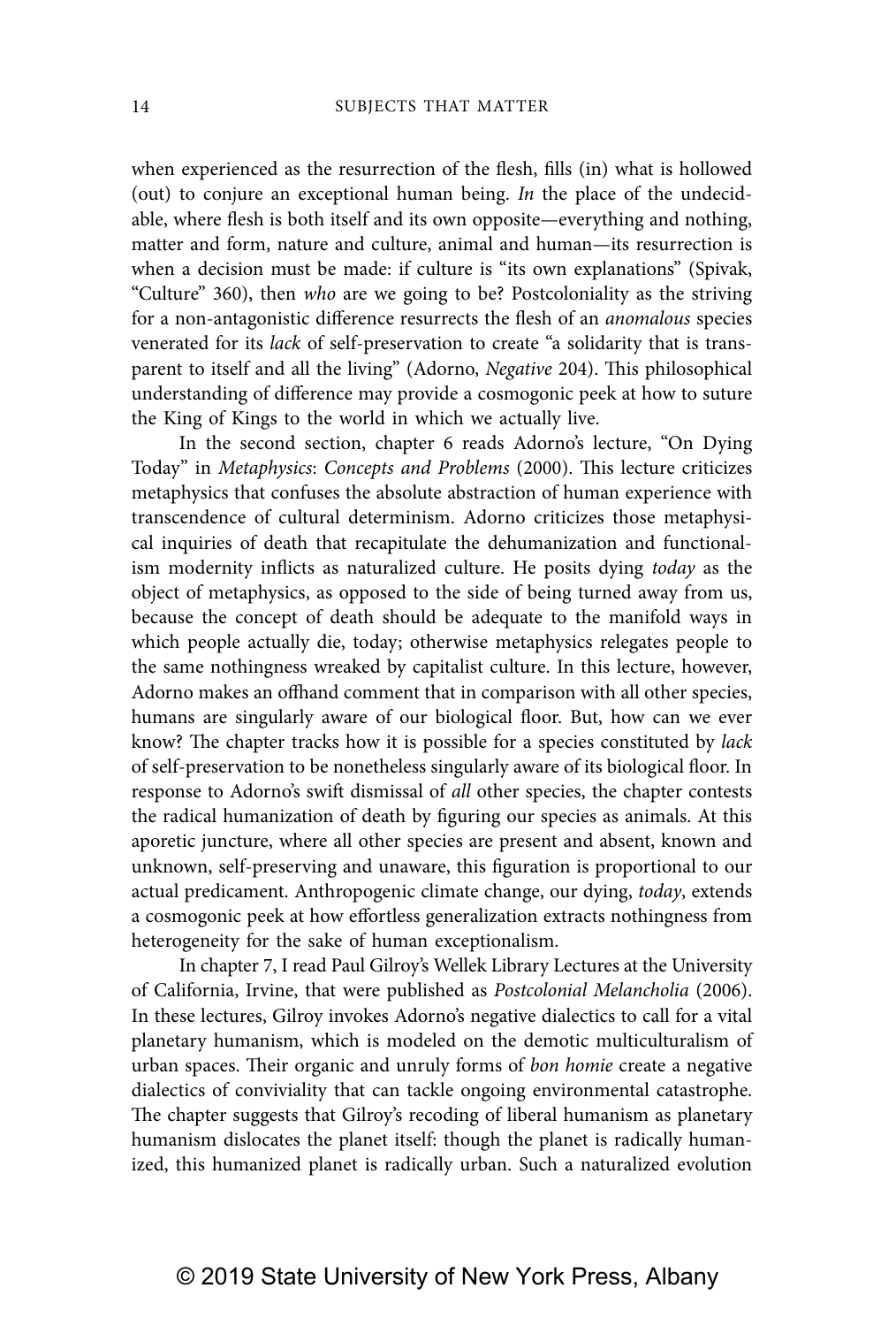when experienced as the resurrection of the flesh, fills (in) what is hollowed (out) to conjure an exceptional human being. In the place of the undecidable, where flesh is both itself and its own opposite—everything and nothing, matter and form, nature and culture, animal and human—its resurrection is when a decision must be made: if culture is "its own explanations" (Spivak, "Culture" 360), then who are we going to be? Postcoloniality as the striving for a non-antagonistic difference resurrects the flesh of an anomalous species venerated for its lack of self-preservation to create "a solidarity that is transparent to itself and all the living" (Adorno, Negative 204). This philosophical understanding of difference may provide a cosmogonic peek at how to suture the King of Kings to the world in which we actually live.

In the second section, chapter 6 reads Adorno's lecture, "On Dying Today" in Metaphysics: Concepts and Problems (2000). This lecture criticizes metaphysics that confuses the absolute abstraction of human experience with transcendence of cultural determinism. Adorno criticizes those metaphysical inquiries of death that recapitulate the dehumanization and functionalism modernity inflicts as naturalized culture. He posits dying today as the object of metaphysics, as opposed to the side of being turned away from us, because the concept of death should be adequate to the manifold ways in which people actually die, today; otherwise metaphysics relegates people to the same nothingness wreaked by capitalist culture. In this lecture, however, Adorno makes an offhand comment that in comparison with all other species, humans are singularly aware of our biological floor. But, how can we ever know? The chapter tracks how it is possible for a species constituted by lack of self-preservation to be nonetheless singularly aware of its biological floor. In response to Adorno's swift dismissal of all other species, the chapter contests the radical humanization of death by figuring our species as animals. At this aporetic juncture, where all other species are present and absent, known and unknown, self-preserving and unaware, this figuration is proportional to our actual predicament. Anthropogenic climate change, our dying, today, extends a cosmogonic peek at how effortless generalization extracts nothingness from heterogeneity for the sake of human exceptionalism.

In chapter 7, I read Paul Gilroy's Wellek Library Lectures at the University of California, Irvine, that were published as Postcolonial Melancholia (2006). In these lectures, Gilroy invokes Adorno's negative dialectics to call for a vital planetary humanism, which is modeled on the demotic multiculturalism of urban spaces. Their organic and unruly forms of bon homie create a negative dialectics of conviviality that can tackle ongoing environmental catastrophe. The chapter suggests that Gilroy's recoding of liberal humanism as planetary humanism dislocates the planet itself: though the planet is radically humanized, this humanized planet is radically urban. Such a naturalized evolution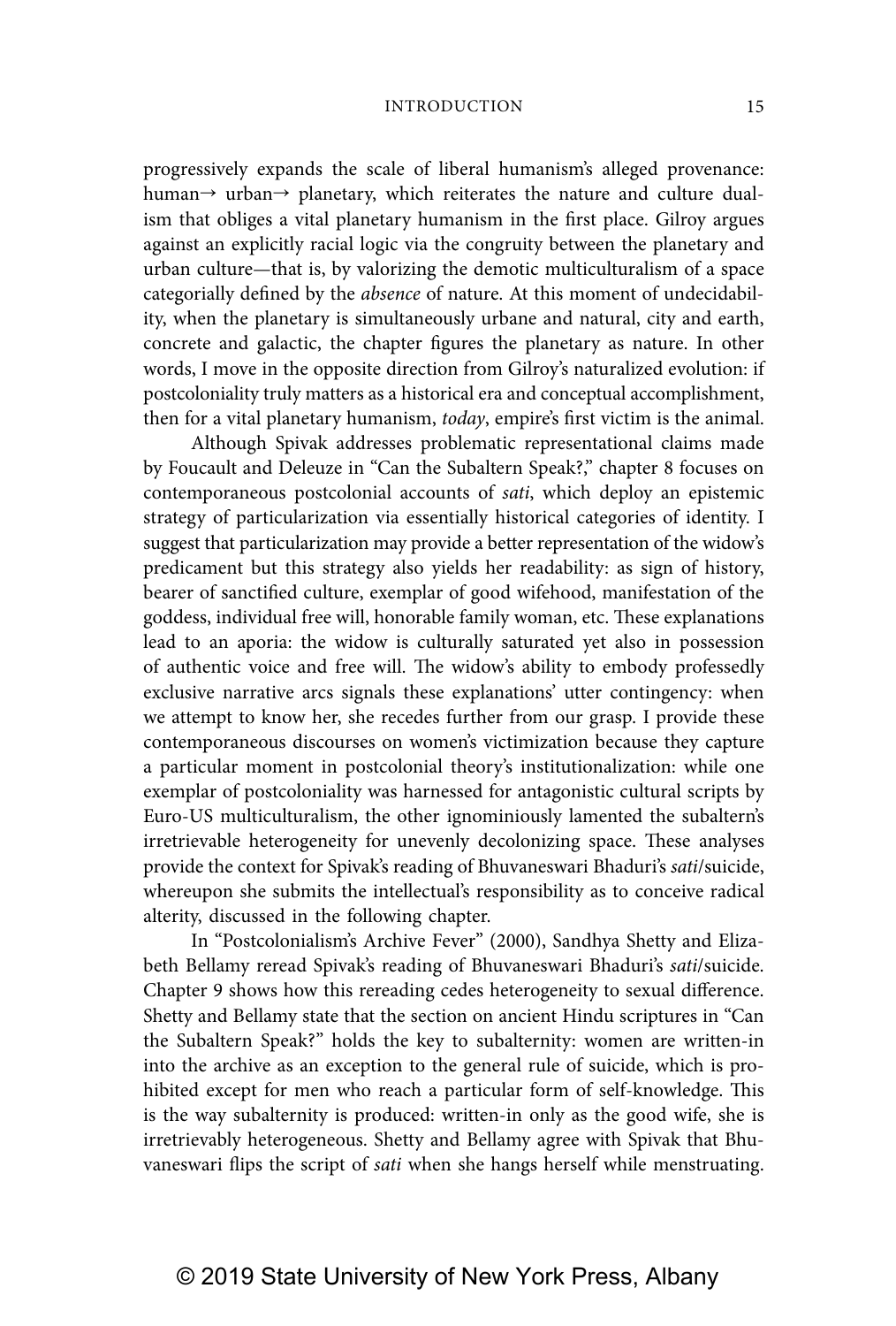progressively expands the scale of liberal humanism's alleged provenance: human $\rightarrow$  urban $\rightarrow$  planetary, which reiterates the nature and culture dualism that obliges a vital planetary humanism in the first place. Gilroy argues against an explicitly racial logic via the congruity between the planetary and urban culture—that is, by valorizing the demotic multiculturalism of a space categorially defined by the absence of nature. At this moment of undecidability, when the planetary is simultaneously urbane and natural, city and earth, concrete and galactic, the chapter figures the planetary as nature. In other words, I move in the opposite direction from Gilroy's naturalized evolution: if postcoloniality truly matters as a historical era and conceptual accomplishment, then for a vital planetary humanism, today, empire's first victim is the animal.

Although Spivak addresses problematic representational claims made by Foucault and Deleuze in "Can the Subaltern Speak?," chapter 8 focuses on contemporaneous postcolonial accounts of sati, which deploy an epistemic strategy of particularization via essentially historical categories of identity. I suggest that particularization may provide a better representation of the widow's predicament but this strategy also yields her readability: as sign of history, bearer of sanctified culture, exemplar of good wifehood, manifestation of the goddess, individual free will, honorable family woman, etc. These explanations lead to an aporia: the widow is culturally saturated yet also in possession of authentic voice and free will. The widow's ability to embody professedly exclusive narrative arcs signals these explanations' utter contingency: when we attempt to know her, she recedes further from our grasp. I provide these contemporaneous discourses on women's victimization because they capture a particular moment in postcolonial theory's institutionalization: while one exemplar of postcoloniality was harnessed for antagonistic cultural scripts by Euro-US multiculturalism, the other ignominiously lamented the subaltern's irretrievable heterogeneity for unevenly decolonizing space. These analyses provide the context for Spivak's reading of Bhuvaneswari Bhaduri's sati/suicide, whereupon she submits the intellectual's responsibility as to conceive radical alterity, discussed in the following chapter.

In "Postcolonialism's Archive Fever" (2000), Sandhya Shetty and Elizabeth Bellamy reread Spivak's reading of Bhuvaneswari Bhaduri's sati/suicide. Chapter 9 shows how this rereading cedes heterogeneity to sexual difference. Shetty and Bellamy state that the section on ancient Hindu scriptures in "Can the Subaltern Speak?" holds the key to subalternity: women are written-in into the archive as an exception to the general rule of suicide, which is prohibited except for men who reach a particular form of self-knowledge. This is the way subalternity is produced: written-in only as the good wife, she is irretrievably heterogeneous. Shetty and Bellamy agree with Spivak that Bhuvaneswari flips the script of sati when she hangs herself while menstruating.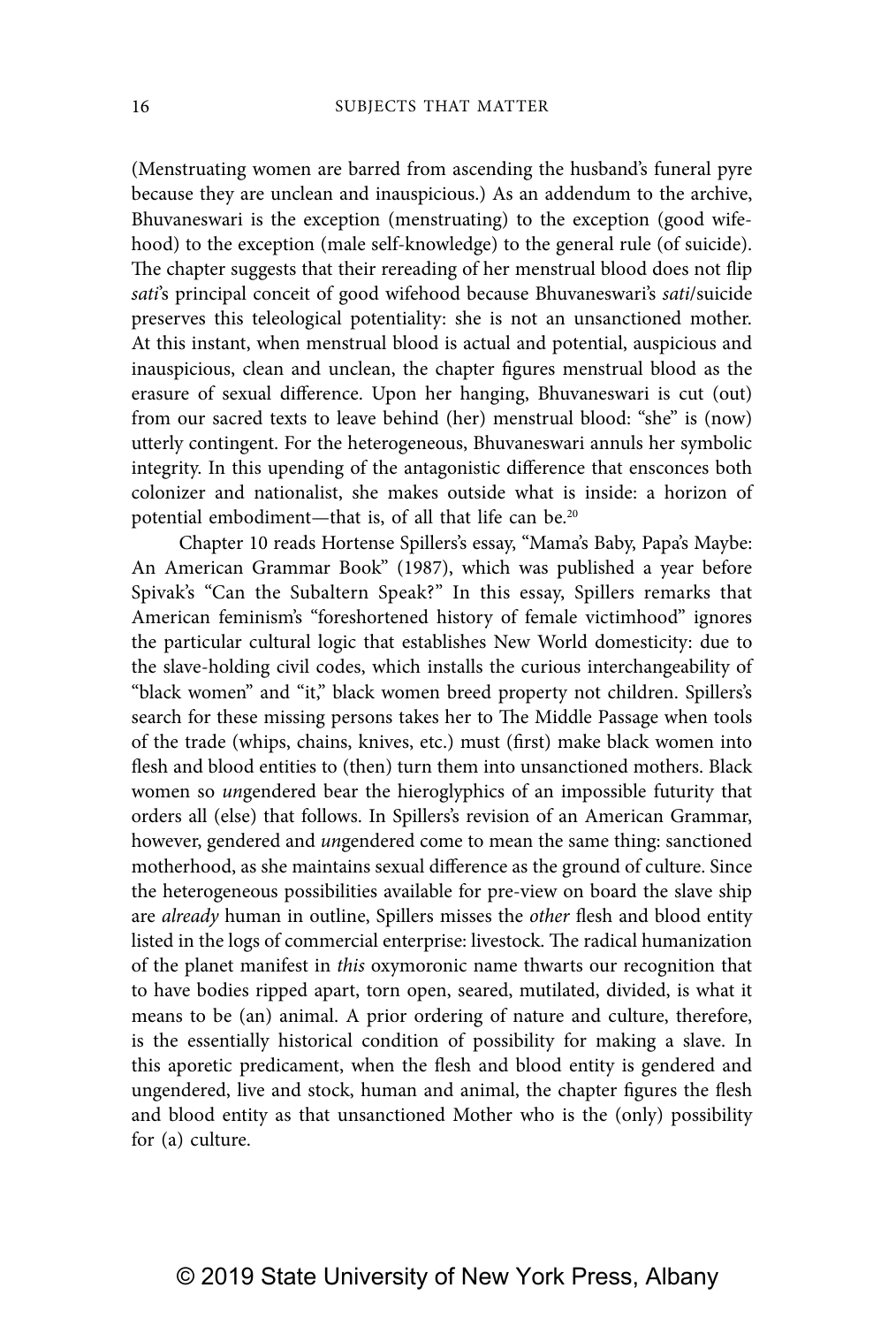(Menstruating women are barred from ascending the husband's funeral pyre because they are unclean and inauspicious.) As an addendum to the archive, Bhuvaneswari is the exception (menstruating) to the exception (good wifehood) to the exception (male self-knowledge) to the general rule (of suicide). The chapter suggests that their rereading of her menstrual blood does not flip sati's principal conceit of good wifehood because Bhuvaneswari's sati/suicide preserves this teleological potentiality: she is not an unsanctioned mother. At this instant, when menstrual blood is actual and potential, auspicious and inauspicious, clean and unclean, the chapter figures menstrual blood as the erasure of sexual difference. Upon her hanging, Bhuvaneswari is cut (out) from our sacred texts to leave behind (her) menstrual blood: "she" is (now) utterly contingent. For the heterogeneous, Bhuvaneswari annuls her symbolic integrity. In this upending of the antagonistic difference that ensconces both colonizer and nationalist, she makes outside what is inside: a horizon of potential embodiment—that is, of all that life can be.20

Chapter 10 reads Hortense Spillers's essay, "Mama's Baby, Papa's Maybe: An American Grammar Book" (1987), which was published a year before Spivak's "Can the Subaltern Speak?" In this essay, Spillers remarks that American feminism's "foreshortened history of female victimhood" ignores the particular cultural logic that establishes New World domesticity: due to the slave-holding civil codes, which installs the curious interchangeability of "black women" and "it," black women breed property not children. Spillers's search for these missing persons takes her to The Middle Passage when tools of the trade (whips, chains, knives, etc.) must (first) make black women into flesh and blood entities to (then) turn them into unsanctioned mothers. Black women so ungendered bear the hieroglyphics of an impossible futurity that orders all (else) that follows. In Spillers's revision of an American Grammar, however, gendered and ungendered come to mean the same thing: sanctioned motherhood, as she maintains sexual difference as the ground of culture. Since the heterogeneous possibilities available for pre-view on board the slave ship are already human in outline, Spillers misses the other flesh and blood entity listed in the logs of commercial enterprise: livestock. The radical humanization of the planet manifest in this oxymoronic name thwarts our recognition that to have bodies ripped apart, torn open, seared, mutilated, divided, is what it means to be (an) animal. A prior ordering of nature and culture, therefore, is the essentially historical condition of possibility for making a slave. In this aporetic predicament, when the flesh and blood entity is gendered and ungendered, live and stock, human and animal, the chapter figures the flesh and blood entity as that unsanctioned Mother who is the (only) possibility for (a) culture.